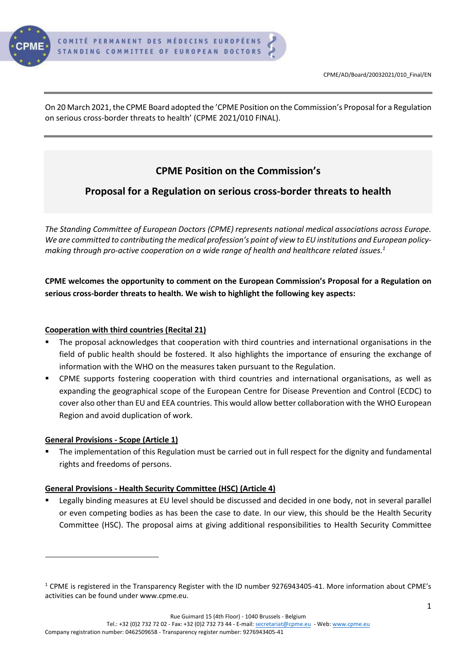

On 20 March 2021, the CPME Board adopted the 'CPME Position on the Commission's Proposal for a Regulation on serious cross-border threats to health' (CPME 2021/010 FINAL).

# **CPME Position on the Commission's**

# **Proposal for a Regulation on serious cross-border threats to health**

*The Standing Committee of European Doctors (CPME) represents national medical associations across Europe.*  We are committed to contributing the medical profession's point of view to EU institutions and *European policymaking through pro-active cooperation on a wide range of health and healthcare related issues.<sup>1</sup>*

**CPME welcomes the opportunity to comment on the European Commission's Proposal for a Regulation on serious cross-border threats to health. We wish to highlight the following key aspects:**

#### **Cooperation with third countries (Recital 21)**

- The proposal acknowledges that cooperation with third countries and international organisations in the field of public health should be fostered. It also highlights the importance of ensuring the exchange of information with the WHO on the measures taken pursuant to the Regulation.
- CPME supports fostering cooperation with third countries and international organisations, as well as expanding the geographical scope of the European Centre for Disease Prevention and Control (ECDC) to cover also other than EU and EEA countries. This would allow better collaboration with the WHO European Region and avoid duplication of work.

#### **General Provisions - Scope (Article 1)**

The implementation of this Regulation must be carried out in full respect for the dignity and fundamental rights and freedoms of persons.

#### **General Provisions - Health Security Committee (HSC) (Article 4)**

Legally binding measures at EU level should be discussed and decided in one body, not in several parallel or even competing bodies as has been the case to date. In our view, this should be the Health Security Committee (HSC). The proposal aims at giving additional responsibilities to Health Security Committee

<sup>&</sup>lt;sup>1</sup> CPME is registered in the Transparency Register with the ID number 9276943405-41. More information about CPME's activities can be found under [www.cpme.eu.](http://www.cpme.eu/)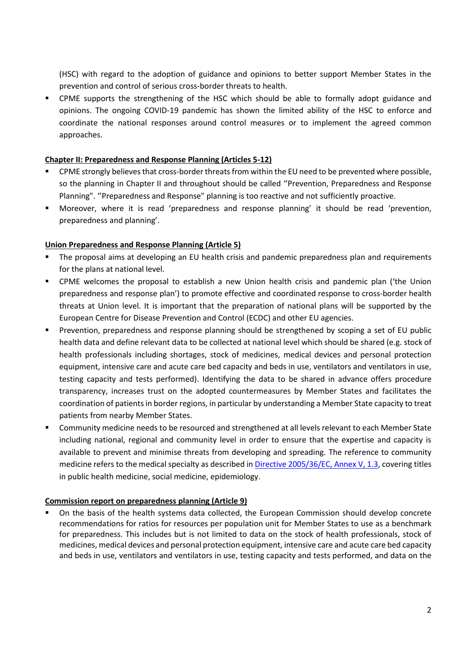(HSC) with regard to the adoption of guidance and opinions to better support Member States in the prevention and control of serious cross-border threats to health.

**•** CPME supports the strengthening of the HSC which should be able to formally adopt guidance and opinions. The ongoing COVID-19 pandemic has shown the limited ability of the HSC to enforce and coordinate the national responses around control measures or to implement the agreed common approaches.

#### **Chapter II: Preparedness and Response Planning (Articles 5-12)**

- CPME strongly believes that cross-border threats from within the EU need to be prevented where possible, so the planning in Chapter II and throughout should be called ''Prevention, Preparedness and Response Planning". ''Preparedness and Response" planning is too reactive and not sufficiently proactive.
- Moreover, where it is read 'preparedness and response planning' it should be read 'prevention, preparedness and planning'.

#### **Union Preparedness and Response Planning (Article 5)**

- The proposal aims at developing an EU health crisis and pandemic preparedness plan and requirements for the plans at national level.
- CPME welcomes the proposal to establish a new Union health crisis and pandemic plan ('the Union preparedness and response plan') to promote effective and coordinated response to cross-border health threats at Union level. It is important that the preparation of national plans will be supported by the European Centre for Disease Prevention and Control (ECDC) and other EU agencies.
- **•** Prevention, preparedness and response planning should be strengthened by scoping a set of EU public health data and define relevant data to be collected at national level which should be shared (e.g. stock of health professionals including shortages, stock of medicines, medical devices and personal protection equipment, intensive care and acute care bed capacity and beds in use, ventilators and ventilators in use, testing capacity and tests performed). Identifying the data to be shared in advance offers procedure transparency, increases trust on the adopted countermeasures by Member States and facilitates the coordination of patients in border regions, in particular by understanding a Member State capacity to treat patients from nearby Member States.
- **EX Community medicine needs to be resourced and strengthened at all levels relevant to each Member State** including national, regional and community level in order to ensure that the expertise and capacity is available to prevent and minimise threats from developing and spreading. The reference to community medicine refers to the medical specialty as described i[n Directive 2005/36/EC, Annex V, 1.3,](https://eur-lex.europa.eu/legal-content/EN/TXT/?uri=CELEX:02005L0036-20160524) covering titles in public health medicine, social medicine, epidemiology.

#### **Commission report on preparedness planning (Article 9)**

On the basis of the health systems data collected, the European Commission should develop concrete recommendations for ratios for resources per population unit for Member States to use as a benchmark for preparedness. This includes but is not limited to data on the stock of health professionals, stock of medicines, medical devices and personal protection equipment, intensive care and acute care bed capacity and beds in use, ventilators and ventilators in use, testing capacity and tests performed, and data on the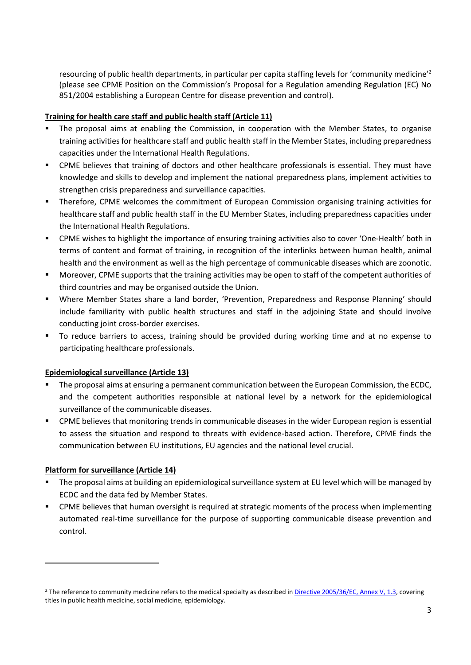resourcing of public health departments, in particular per capita staffing levels for 'community medicine' 2 (please see CPME Position on the Commission's Proposal for a Regulation amending Regulation (EC) No 851/2004 establishing a European Centre for disease prevention and control).

#### **Training for health care staff and public health staff (Article 11)**

- The proposal aims at enabling the Commission, in cooperation with the Member States, to organise training activities for healthcare staff and public health staff in the Member States, including preparedness capacities under the International Health Regulations.
- CPME believes that training of doctors and other healthcare professionals is essential. They must have knowledge and skills to develop and implement the national preparedness plans, implement activities to strengthen crisis preparedness and surveillance capacities.
- Therefore, CPME welcomes the commitment of European Commission organising training activities for healthcare staff and public health staff in the EU Member States, including preparedness capacities under the International Health Regulations.
- CPME wishes to highlight the importance of ensuring training activities also to cover 'One-Health' both in terms of content and format of training, in recognition of the interlinks between human health, animal health and the environment as well as the high percentage of communicable diseases which are zoonotic.
- Moreover, CPME supports that the training activities may be open to staff of the competent authorities of third countries and may be organised outside the Union.
- Where Member States share a land border, 'Prevention, Preparedness and Response Planning' should include familiarity with public health structures and staff in the adjoining State and should involve conducting joint cross-border exercises.
- To reduce barriers to access, training should be provided during working time and at no expense to participating healthcare professionals.

# **Epidemiological surveillance (Article 13)**

- The proposal aims at ensuring a permanent communication between the European Commission, the ECDC, and the competent authorities responsible at national level by a network for the epidemiological surveillance of the communicable diseases.
- **CPME believes that monitoring trends in communicable diseases in the wider European region is essential** to assess the situation and respond to threats with evidence-based action. Therefore, CPME finds the communication between EU institutions, EU agencies and the national level crucial.

# **Platform for surveillance (Article 14)**

- The proposal aims at building an epidemiological surveillance system at EU level which will be managed by ECDC and the data fed by Member States.
- CPME believes that human oversight is required at strategic moments of the process when implementing automated real-time surveillance for the purpose of supporting communicable disease prevention and control.

<sup>&</sup>lt;sup>2</sup> The reference to community medicine refers to the medical specialty as described in [Directive 2005/36/EC, Annex V, 1.3,](https://eur-lex.europa.eu/legal-content/EN/TXT/?uri=CELEX:02005L0036-20160524) covering titles in public health medicine, social medicine, epidemiology.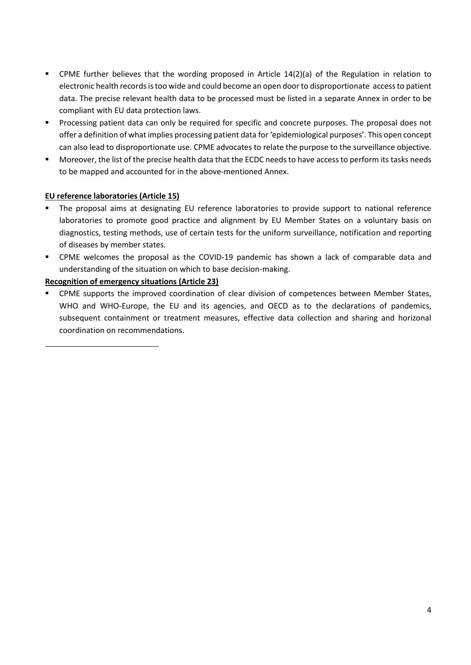- CPME further believes that the wording proposed in Article 14(2)(a) of the Regulation in relation to electronic health records is too wide and could become an open door to disproportionate access to patient data. The precise relevant health data to be processed must be listed in a separate Annex in order to be compliant with EU data protection laws.
- **•** Processing patient data can only be required for specific and concrete purposes. The proposal does not offer a definition of what implies processing patient data for 'epidemiological purposes'. This open concept can also lead to disproportionate use. CPME advocates to relate the purpose to the surveillance objective.
- Moreover, the list of the precise health data that the ECDC needs to have access to perform its tasks needs to be mapped and accounted for in the above-mentioned Annex.

### **EU reference laboratories (Article 15)**

- The proposal aims at designating EU reference laboratories to provide support to national reference laboratories to promote good practice and alignment by EU Member States on a voluntary basis on diagnostics, testing methods, use of certain tests for the uniform surveillance, notification and reporting of diseases by member states.
- CPME welcomes the proposal as the COVID-19 pandemic has shown a lack of comparable data and understanding of the situation on which to base decision-making.

### **Recognition of emergency situations (Article 23)**

CPME supports the improved coordination of clear division of competences between Member States, WHO and WHO-Europe, the EU and its agencies, and OECD as to the declarations of pandemics, subsequent containment or treatment measures, effective data collection and sharing and horizonal coordination on recommendations.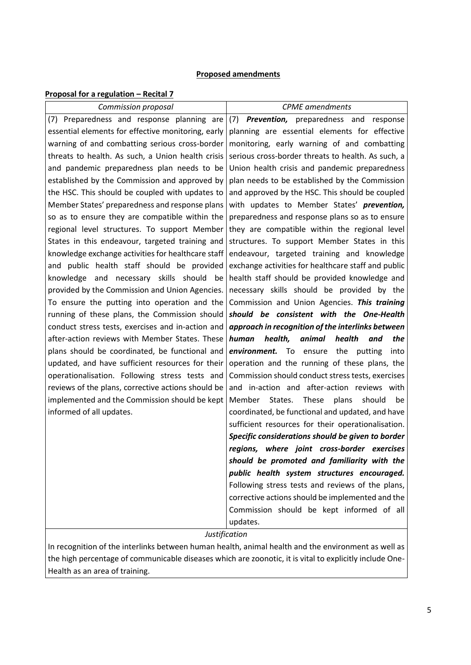### **Proposed amendments**

#### **Proposal for a regulation – Recital 7**

| Commission proposal                                | <b>CPME</b> amendments                               |
|----------------------------------------------------|------------------------------------------------------|
| (7) Preparedness and response planning are         | (7) <b>Prevention</b> , preparedness and<br>response |
| essential elements for effective monitoring, early | planning are essential elements for effective        |
| warning of and combatting serious cross-border     | monitoring, early warning of and combatting          |
| threats to health. As such, a Union health crisis  | serious cross-border threats to health. As such, a   |
| and pandemic preparedness plan needs to be         | Union health crisis and pandemic preparedness        |
| established by the Commission and approved by      | plan needs to be established by the Commission       |
| the HSC. This should be coupled with updates to    | and approved by the HSC. This should be coupled      |
| Member States' preparedness and response plans     | with updates to Member States' prevention,           |
| so as to ensure they are compatible within the     | preparedness and response plans so as to ensure      |
| regional level structures. To support Member       | they are compatible within the regional level        |
| States in this endeavour, targeted training and    | structures. To support Member States in this         |
| knowledge exchange activities for healthcare staff | endeavour, targeted training and knowledge           |
| and public health staff should be provided         | exchange activities for healthcare staff and public  |
| knowledge and necessary skills should be           | health staff should be provided knowledge and        |
| provided by the Commission and Union Agencies.     | necessary skills should be provided by the           |
| To ensure the putting into operation and the       | Commission and Union Agencies. This training         |
| running of these plans, the Commission should      | should be consistent with the One-Health             |
| conduct stress tests, exercises and in-action and  | approach in recognition of the interlinks between    |
| after-action reviews with Member States. These     | health,<br>animal<br>health<br>human<br>the<br>and   |
| plans should be coordinated, be functional and     | environment. To ensure<br>the putting<br>into        |
| updated, and have sufficient resources for their   | operation and the running of these plans, the        |
| operationalisation. Following stress tests and     | Commission should conduct stress tests, exercises    |
| reviews of the plans, corrective actions should be | and in-action and after-action reviews with          |
| implemented and the Commission should be kept      | These<br>plans<br>Member<br>States.<br>should<br>be  |
| informed of all updates.                           | coordinated, be functional and updated, and have     |
|                                                    | sufficient resources for their operationalisation.   |
|                                                    | Specific considerations should be given to border    |
|                                                    | regions, where joint cross-border exercises          |
|                                                    | should be promoted and familiarity with the          |
|                                                    | public health system structures encouraged.          |
|                                                    | Following stress tests and reviews of the plans,     |
|                                                    | corrective actions should be implemented and the     |
|                                                    | Commission should be kept informed of all            |
|                                                    | updates.                                             |
|                                                    | Justification                                        |

In recognition of the interlinks between human health, animal health and the environment as well as the high percentage of communicable diseases which are zoonotic, it is vital to explicitly include One-Health as an area of training.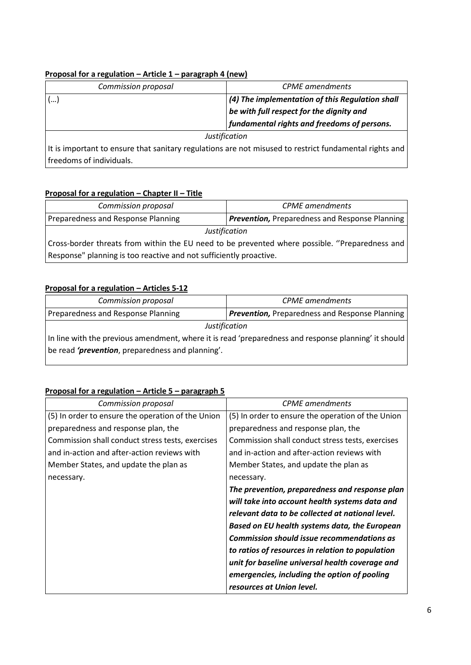# **Proposal for a regulation – Article 1 – paragraph 4 (new)**

| Commission proposal | <b>CPME</b> amendments                                                                                                                     |
|---------------------|--------------------------------------------------------------------------------------------------------------------------------------------|
|                     | (4) The implementation of this Regulation shall<br>be with full respect for the dignity and<br>fundamental rights and freedoms of persons. |
|                     | Justification                                                                                                                              |
|                     | It is important to ensure that sanitary regulations are not misused to restrict fundamental rights and                                     |

It is important to ensure that sanitary regulations are not misused to restrict fundamental rights and freedoms of individuals.

### **Proposal for a regulation – Chapter II – Title**

| Commission proposal                                                                            | <b>CPME</b> amendments                                |  |
|------------------------------------------------------------------------------------------------|-------------------------------------------------------|--|
| Preparedness and Response Planning                                                             | <b>Prevention, Preparedness and Response Planning</b> |  |
| Justification                                                                                  |                                                       |  |
| Cross-border threats from within the EU need to be prevented where possible. "Preparedness and |                                                       |  |
| Response" planning is too reactive and not sufficiently proactive.                             |                                                       |  |

# **Proposal for a regulation – Articles 5-12**

| Commission proposal                                                                                  | <b>CPME</b> amendments                                |  |
|------------------------------------------------------------------------------------------------------|-------------------------------------------------------|--|
| Preparedness and Response Planning                                                                   | <b>Prevention, Preparedness and Response Planning</b> |  |
| Justification                                                                                        |                                                       |  |
| In line with the previous amendment, where it is read 'preparedness and response planning' it should |                                                       |  |
| be read 'prevention, preparedness and planning'.                                                     |                                                       |  |
|                                                                                                      |                                                       |  |

# **Proposal for a regulation – Article 5 – paragraph 5**

| Commission proposal                               | <b>CPME</b> amendments                            |
|---------------------------------------------------|---------------------------------------------------|
| (5) In order to ensure the operation of the Union | (5) In order to ensure the operation of the Union |
| preparedness and response plan, the               | preparedness and response plan, the               |
| Commission shall conduct stress tests, exercises  | Commission shall conduct stress tests, exercises  |
| and in-action and after-action reviews with       | and in-action and after-action reviews with       |
| Member States, and update the plan as             | Member States, and update the plan as             |
| necessary.                                        | necessary.                                        |
|                                                   | The prevention, preparedness and response plan    |
|                                                   | will take into account health systems data and    |
|                                                   | relevant data to be collected at national level.  |
|                                                   | Based on EU health systems data, the European     |
|                                                   | Commission should issue recommendations as        |
|                                                   | to ratios of resources in relation to population  |
|                                                   | unit for baseline universal health coverage and   |
|                                                   | emergencies, including the option of pooling      |
|                                                   | resources at Union level.                         |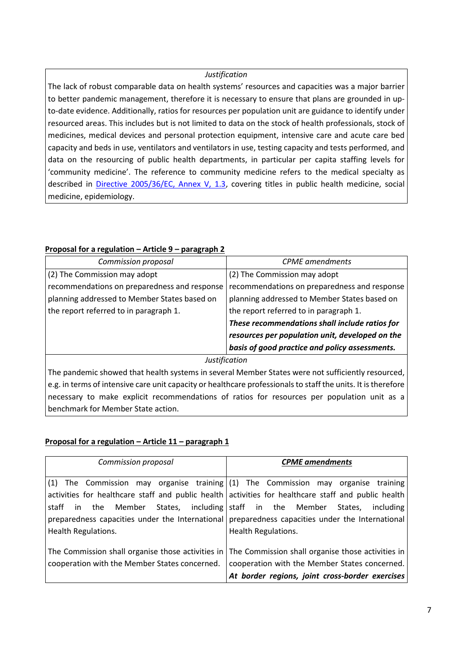#### *Justification*

The lack of robust comparable data on health systems' resources and capacities was a major barrier to better pandemic management, therefore it is necessary to ensure that plans are grounded in upto-date evidence. Additionally, ratios for resources per population unit are guidance to identify under resourced areas. This includes but is not limited to data on the stock of health professionals, stock of medicines, medical devices and personal protection equipment, intensive care and acute care bed capacity and beds in use, ventilators and ventilators in use, testing capacity and tests performed, and data on the resourcing of public health departments, in particular per capita staffing levels for 'community medicine'. The reference to community medicine refers to the medical specialty as described in *Directive 2005/36/EC*, Annex V, 1.3, covering titles in public health medicine, social medicine, epidemiology.

| Commission proposal                                                                                        | <b>CPME</b> amendments                          |
|------------------------------------------------------------------------------------------------------------|-------------------------------------------------|
| (2) The Commission may adopt                                                                               | (2) The Commission may adopt                    |
| recommendations on preparedness and response                                                               | recommendations on preparedness and response    |
| planning addressed to Member States based on                                                               | planning addressed to Member States based on    |
| the report referred to in paragraph 1.                                                                     | the report referred to in paragraph 1.          |
|                                                                                                            | These recommendations shall include ratios for  |
|                                                                                                            | resources per population unit, developed on the |
|                                                                                                            | basis of good practice and policy assessments.  |
| Justification                                                                                              |                                                 |
| The membership of comedition has the content of the comedia Asia has Change come man cofficiently measured |                                                 |

# **Proposal for a regulation – Article 9 – paragraph 2**

The pandemic showed that health systems in several Member States were not sufficiently resourced, e.g. in terms of intensive care unit capacity or healthcare professionals to staff the units. It is therefore necessary to make explicit recommendations of ratios for resources per population unit as a benchmark for Member State action.

# **Proposal for a regulation – Article 11 – paragraph 1**

| Commission proposal                                       | <b>CPME</b> amendments                                                                                                                                                                     |
|-----------------------------------------------------------|--------------------------------------------------------------------------------------------------------------------------------------------------------------------------------------------|
|                                                           | (1) The Commission may organise training $(1)$ The Commission may organise training<br>activities for healthcare staff and public health activities for healthcare staff and public health |
| staff in the Member States, including staff in the Member | States,<br>including                                                                                                                                                                       |
|                                                           | preparedness capacities under the International preparedness capacities under the International                                                                                            |
| Health Regulations.                                       | <b>Health Regulations.</b>                                                                                                                                                                 |
|                                                           | The Commission shall organise those activities in The Commission shall organise those activities in                                                                                        |
|                                                           | cooperation with the Member States concerned.   cooperation with the Member States concerned.                                                                                              |
|                                                           | At border regions, joint cross-border exercises                                                                                                                                            |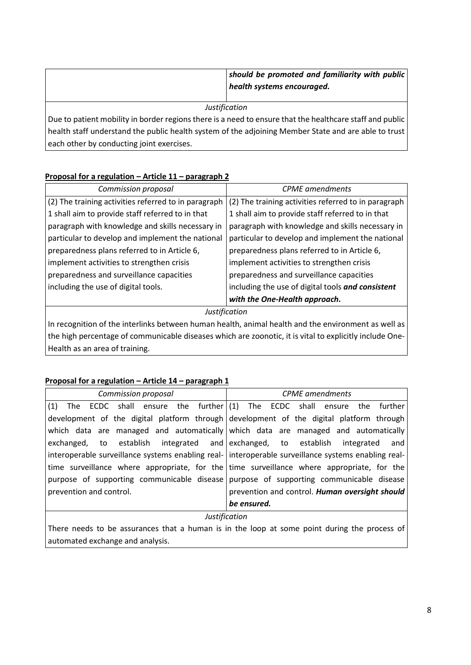|                                                                                                          | should be promoted and familiarity with public<br>health systems encouraged. |
|----------------------------------------------------------------------------------------------------------|------------------------------------------------------------------------------|
| Justification                                                                                            |                                                                              |
| Due to patient mobility in border regions there is a need to ensure that the healthcare staff and public |                                                                              |
| health staff understand the public health system of the adjoining Member State and are able to trust     |                                                                              |

each other by conducting joint exercises.

### **Proposal for a regulation – Article 11 – paragraph 2**

| Commission proposal                                  | <b>CPME</b> amendments                               |
|------------------------------------------------------|------------------------------------------------------|
| (2) The training activities referred to in paragraph | (2) The training activities referred to in paragraph |
| 1 shall aim to provide staff referred to in that     | 1 shall aim to provide staff referred to in that     |
| paragraph with knowledge and skills necessary in     | paragraph with knowledge and skills necessary in     |
| particular to develop and implement the national     | particular to develop and implement the national     |
| preparedness plans referred to in Article 6,         | preparedness plans referred to in Article 6,         |
| implement activities to strengthen crisis            | implement activities to strengthen crisis            |
| preparedness and surveillance capacities             | preparedness and surveillance capacities             |
| including the use of digital tools.                  | including the use of digital tools and consistent    |
|                                                      | with the One-Health approach.                        |
| 1. <i>.</i>                                          |                                                      |

*Justification*

In recognition of the interlinks between human health, animal health and the environment as well as the high percentage of communicable diseases which are zoonotic, it is vital to explicitly include One-Health as an area of training.

# **Proposal for a regulation – Article 14 – paragraph 1**

| Commission proposal                                                                           | <b>CPME</b> amendments                                                                              |
|-----------------------------------------------------------------------------------------------|-----------------------------------------------------------------------------------------------------|
| (1)                                                                                           | The ECDC shall ensure the further $(1)$ The ECDC shall ensure the further                           |
|                                                                                               | development of the digital platform through development of the digital platform through             |
|                                                                                               | which data are managed and automatically which data are managed and automatically                   |
|                                                                                               | exchanged, to establish integrated and exchanged, to establish integrated and                       |
|                                                                                               | interoperable surveillance systems enabling real- interoperable surveillance systems enabling real- |
|                                                                                               | time surveillance where appropriate, for the time surveillance where appropriate, for the           |
|                                                                                               | purpose of supporting communicable disease purpose of supporting communicable disease               |
| prevention and control.                                                                       | prevention and control. Human oversight should                                                      |
|                                                                                               | be ensured.                                                                                         |
| Justification                                                                                 |                                                                                                     |
| There needs to be assurances that a buman is in the loop at seme noint during the presence of |                                                                                                     |

There needs to be assurances that a human is in the loop at some point during the process of automated exchange and analysis.